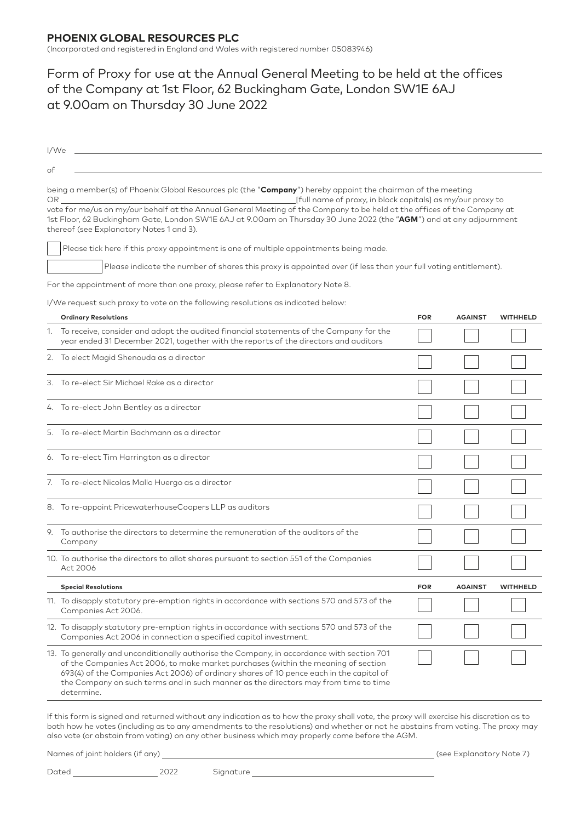## **PHOENIX GLOBAL RESOURCES PLC**

(Incorporated and registered in England and Wales with registered number 05083946)

## Form of Proxy for use at the Annual General Meeting to be held at the offices of the Company at 1st Floor, 62 Buckingham Gate, London SW1E 6AJ at 9.00am on Thursday 30 June 2022

| I/We |                                                                                                                                                                                                                                                                                                                                                                                  |            |                |                 |
|------|----------------------------------------------------------------------------------------------------------------------------------------------------------------------------------------------------------------------------------------------------------------------------------------------------------------------------------------------------------------------------------|------------|----------------|-----------------|
| of   |                                                                                                                                                                                                                                                                                                                                                                                  |            |                |                 |
| OR.  | being a member(s) of Phoenix Global Resources plc (the "Company") hereby appoint the chairman of the meeting<br>[full name of proxy, in block capitals] as my/our proxy to                                                                                                                                                                                                       |            |                |                 |
|      | vote for me/us on my/our behalf at the Annual General Meeting of the Company to be held at the offices of the Company at<br>1st Floor, 62 Buckingham Gate, London SW1E 6AJ at 9.00am on Thursday 30 June 2022 (the "AGM") and at any adjournment<br>thereof (see Explanatory Notes 1 and 3).                                                                                     |            |                |                 |
|      | Please tick here if this proxy appointment is one of multiple appointments being made.                                                                                                                                                                                                                                                                                           |            |                |                 |
|      | Please indicate the number of shares this proxy is appointed over (if less than your full voting entitlement).                                                                                                                                                                                                                                                                   |            |                |                 |
|      | For the appointment of more than one proxy, please refer to Explanatory Note 8.                                                                                                                                                                                                                                                                                                  |            |                |                 |
|      | I/We request such proxy to vote on the following resolutions as indicated below:                                                                                                                                                                                                                                                                                                 |            |                |                 |
|      | <b>Ordinary Resolutions</b>                                                                                                                                                                                                                                                                                                                                                      | <b>FOR</b> | <b>AGAINST</b> | <b>WITHHELD</b> |
|      | 1. To receive, consider and adopt the audited financial statements of the Company for the<br>year ended 31 December 2021, together with the reports of the directors and auditors                                                                                                                                                                                                |            |                |                 |
|      | 2. To elect Magid Shenouda as a director                                                                                                                                                                                                                                                                                                                                         |            |                |                 |
|      | 3. To re-elect Sir Michael Rake as a director                                                                                                                                                                                                                                                                                                                                    |            |                |                 |
|      | 4. To re-elect John Bentley as a director                                                                                                                                                                                                                                                                                                                                        |            |                |                 |
|      | 5. To re-elect Martin Bachmann as a director                                                                                                                                                                                                                                                                                                                                     |            |                |                 |
|      | 6. To re-elect Tim Harrington as a director                                                                                                                                                                                                                                                                                                                                      |            |                |                 |
|      | 7. To re-elect Nicolas Mallo Huergo as a director                                                                                                                                                                                                                                                                                                                                |            |                |                 |
|      | 8. To re-appoint PricewaterhouseCoopers LLP as auditors                                                                                                                                                                                                                                                                                                                          |            |                |                 |
|      | 9. To authorise the directors to determine the remuneration of the auditors of the<br>Company                                                                                                                                                                                                                                                                                    |            |                |                 |
|      | 10. To authorise the directors to allot shares pursuant to section 551 of the Companies<br>Act 2006                                                                                                                                                                                                                                                                              |            |                |                 |
|      | <b>Special Resolutions</b>                                                                                                                                                                                                                                                                                                                                                       | <b>FOR</b> | <b>AGAINST</b> | <b>WITHHELD</b> |
|      | 11. To disapply statutory pre-emption rights in accordance with sections 570 and 573 of the<br>Companies Act 2006.                                                                                                                                                                                                                                                               |            |                |                 |
|      | 12. To disapply statutory pre-emption rights in accordance with sections 570 and 573 of the<br>Companies Act 2006 in connection a specified capital investment.                                                                                                                                                                                                                  |            |                |                 |
|      | 13. To generally and unconditionally authorise the Company, in accordance with section 701<br>of the Companies Act 2006, to make market purchases (within the meaning of section<br>693(4) of the Companies Act 2006) of ordinary shares of 10 pence each in the capital of<br>the Company on such terms and in such manner as the directors may from time to time<br>determine. |            |                |                 |
|      | If this form is signed and returned without any indication as to how the proxy shall yote the proxy will exercise his discretion as to                                                                                                                                                                                                                                           |            |                |                 |

form is signed and returned without any indication as to how the proxy shall vote, the proxy will exercise hi both how he votes (including as to any amendments to the resolutions) and whether or not he abstains from voting. The proxy may also vote (or abstain from voting) on any other business which may properly come before the AGM.

Names of joint holders (if any) (see Explanatory Note 7)

Dated 2022 Signature